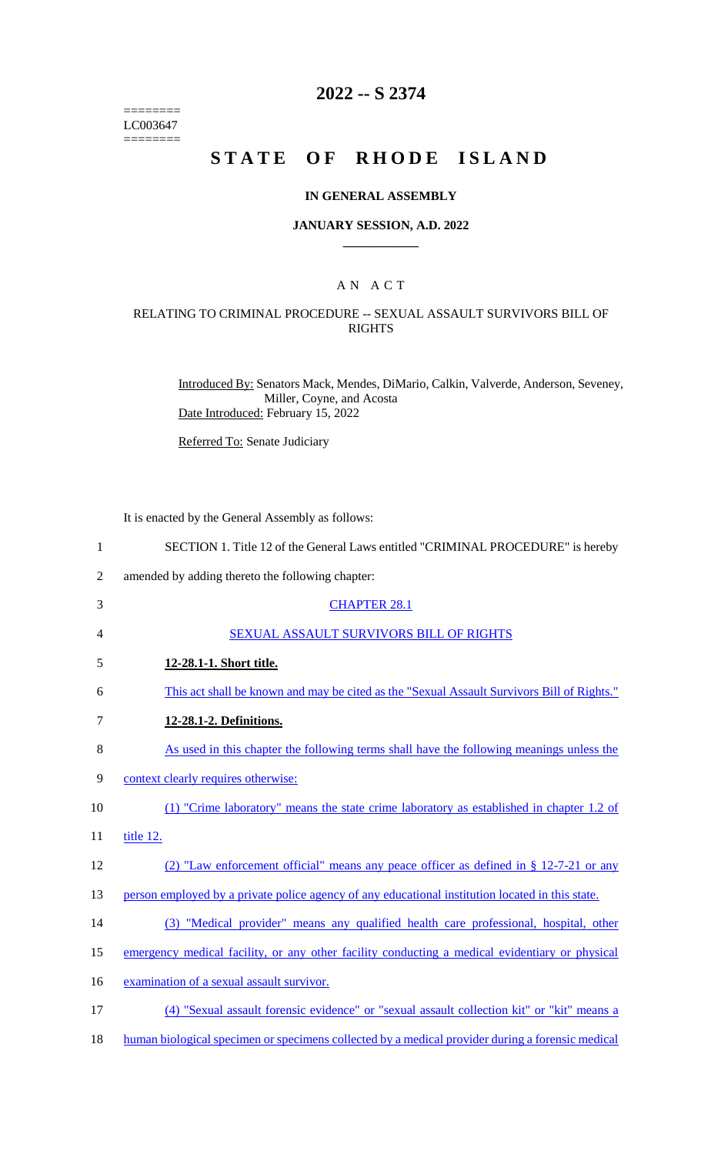======== LC003647 ========

# **2022 -- S 2374**

# **STATE OF RHODE ISLAND**

#### **IN GENERAL ASSEMBLY**

#### **JANUARY SESSION, A.D. 2022 \_\_\_\_\_\_\_\_\_\_\_\_**

### A N A C T

### RELATING TO CRIMINAL PROCEDURE -- SEXUAL ASSAULT SURVIVORS BILL OF RIGHTS

Introduced By: Senators Mack, Mendes, DiMario, Calkin, Valverde, Anderson, Seveney, Miller, Coyne, and Acosta Date Introduced: February 15, 2022

Referred To: Senate Judiciary

It is enacted by the General Assembly as follows:

| $\mathbf{1}$   | SECTION 1. Title 12 of the General Laws entitled "CRIMINAL PROCEDURE" is hereby                  |
|----------------|--------------------------------------------------------------------------------------------------|
| $\overline{2}$ | amended by adding thereto the following chapter:                                                 |
| 3              | <b>CHAPTER 28.1</b>                                                                              |
| 4              | SEXUAL ASSAULT SURVIVORS BILL OF RIGHTS                                                          |
| 5              | 12-28.1-1. Short title.                                                                          |
| 6              | This act shall be known and may be cited as the "Sexual Assault Survivors Bill of Rights."       |
| $\tau$         | 12-28.1-2. Definitions.                                                                          |
| 8              | As used in this chapter the following terms shall have the following meanings unless the         |
| 9              | context clearly requires otherwise:                                                              |
| 10             | (1) "Crime laboratory" means the state crime laboratory as established in chapter 1.2 of         |
| 11             | title 12.                                                                                        |
| 12             | (2) "Law enforcement official" means any peace officer as defined in $\S$ 12-7-21 or any         |
| 13             | person employed by a private police agency of any educational institution located in this state. |
| 14             | (3) "Medical provider" means any qualified health care professional, hospital, other             |
| 15             | emergency medical facility, or any other facility conducting a medical evidentiary or physical   |
| 16             | examination of a sexual assault survivor.                                                        |
| 17             | (4) "Sexual assault forensic evidence" or "sexual assault collection kit" or "kit" means a       |
| 18             | human biological specimen or specimens collected by a medical provider during a forensic medical |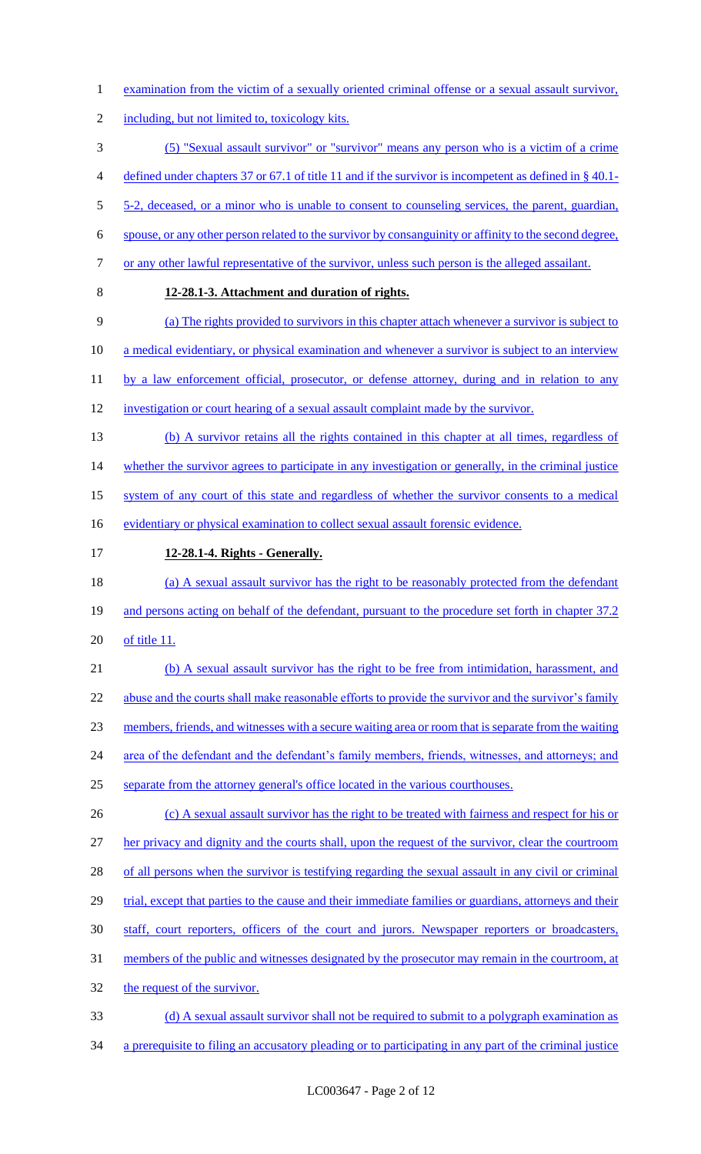- 1 examination from the victim of a sexually oriented criminal offense or a sexual assault survivor,
- 2 including, but not limited to, toxicology kits.
- 3 (5) "Sexual assault survivor" or "survivor" means any person who is a victim of a crime

4 defined under chapters 37 or 67.1 of title 11 and if the survivor is incompetent as defined in § 40.1-

5 5-2, deceased, or a minor who is unable to consent to counseling services, the parent, guardian,

6 spouse, or any other person related to the survivor by consanguinity or affinity to the second degree,

- 7 or any other lawful representative of the survivor, unless such person is the alleged assailant.
- 

### 8 **12-28.1-3. Attachment and duration of rights.**

- 9 (a) The rights provided to survivors in this chapter attach whenever a survivor is subject to
- 10 a medical evidentiary, or physical examination and whenever a survivor is subject to an interview

11 by a law enforcement official, prosecutor, or defense attorney, during and in relation to any

- 12 investigation or court hearing of a sexual assault complaint made by the survivor.
- 13 (b) A survivor retains all the rights contained in this chapter at all times, regardless of 14 whether the survivor agrees to participate in any investigation or generally, in the criminal justice
- 15 system of any court of this state and regardless of whether the survivor consents to a medical
- 16 evidentiary or physical examination to collect sexual assault forensic evidence.
- 17 **12-28.1-4. Rights - Generally.**
- 18 (a) A sexual assault survivor has the right to be reasonably protected from the defendant 19 and persons acting on behalf of the defendant, pursuant to the procedure set forth in chapter 37.2
- 20 of title 11.
- 21 (b) A sexual assault survivor has the right to be free from intimidation, harassment, and 22 abuse and the courts shall make reasonable efforts to provide the survivor and the survivor's family 23 members, friends, and witnesses with a secure waiting area or room that is separate from the waiting 24 area of the defendant and the defendant's family members, friends, witnesses, and attorneys; and 25 separate from the attorney general's office located in the various courthouses.
- 26 (c) A sexual assault survivor has the right to be treated with fairness and respect for his or 27 her privacy and dignity and the courts shall, upon the request of the survivor, clear the courtroom 28 of all persons when the survivor is testifying regarding the sexual assault in any civil or criminal 29 trial, except that parties to the cause and their immediate families or guardians, attorneys and their 30 staff, court reporters, officers of the court and jurors. Newspaper reporters or broadcasters, 31 members of the public and witnesses designated by the prosecutor may remain in the courtroom, at 32 the request of the survivor.
- 33 (d) A sexual assault survivor shall not be required to submit to a polygraph examination as
- 34 a prerequisite to filing an accusatory pleading or to participating in any part of the criminal justice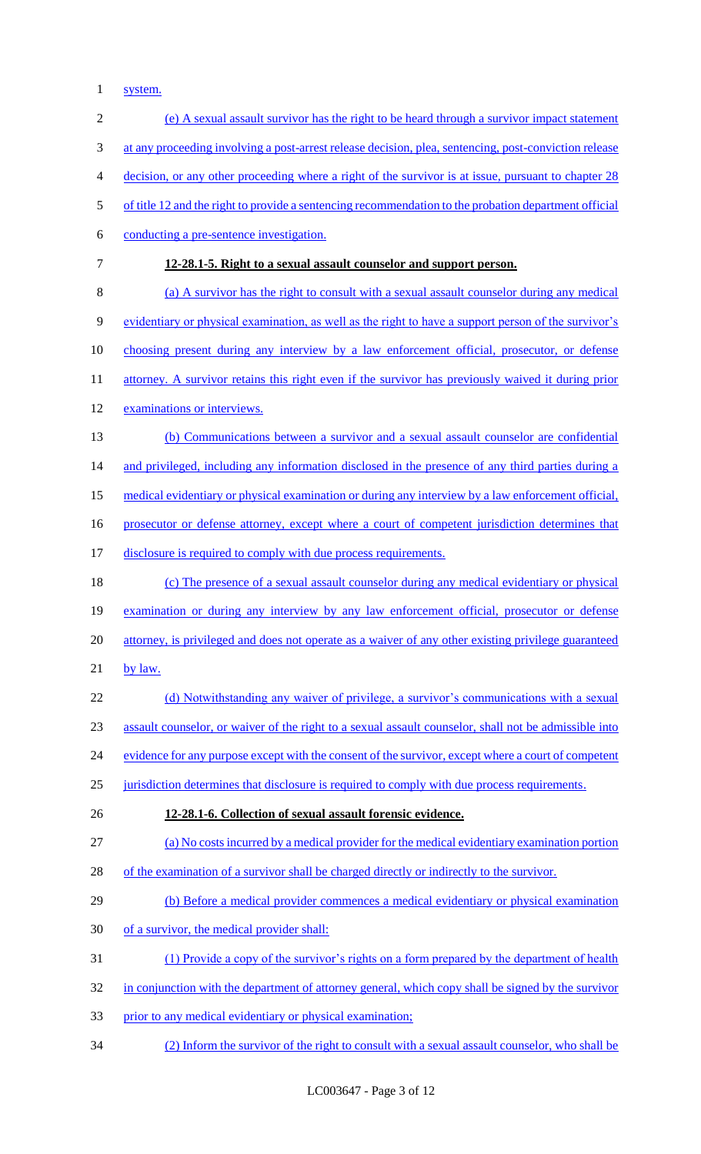system.

| $\sqrt{2}$ | (e) A sexual assault survivor has the right to be heard through a survivor impact statement           |
|------------|-------------------------------------------------------------------------------------------------------|
| 3          | at any proceeding involving a post-arrest release decision, plea, sentencing, post-conviction release |
| 4          | decision, or any other proceeding where a right of the survivor is at issue, pursuant to chapter 28   |
| 5          | of title 12 and the right to provide a sentencing recommendation to the probation department official |
| 6          | conducting a pre-sentence investigation.                                                              |
| 7          | 12-28.1-5. Right to a sexual assault counselor and support person.                                    |
| 8          | (a) A survivor has the right to consult with a sexual assault counselor during any medical            |
| 9          | evidentiary or physical examination, as well as the right to have a support person of the survivor's  |
| 10         | choosing present during any interview by a law enforcement official, prosecutor, or defense           |
| 11         | attorney. A survivor retains this right even if the survivor has previously waived it during prior    |
| 12         | examinations or interviews.                                                                           |
| 13         | (b) Communications between a survivor and a sexual assault counselor are confidential                 |
| 14         | and privileged, including any information disclosed in the presence of any third parties during a     |
| 15         | medical evidentiary or physical examination or during any interview by a law enforcement official,    |
| 16         | prosecutor or defense attorney, except where a court of competent jurisdiction determines that        |
| 17         | disclosure is required to comply with due process requirements.                                       |
| 18         | (c) The presence of a sexual assault counselor during any medical evidentiary or physical             |
| 19         | examination or during any interview by any law enforcement official, prosecutor or defense            |
| 20         | attorney, is privileged and does not operate as a waiver of any other existing privilege guaranteed   |
| 21         | by law.                                                                                               |
| 22         | (d) Notwithstanding any waiver of privilege, a survivor's communications with a sexual                |
| 23         | assault counselor, or waiver of the right to a sexual assault counselor, shall not be admissible into |
| 24         | evidence for any purpose except with the consent of the survivor, except where a court of competent   |
| 25         | jurisdiction determines that disclosure is required to comply with due process requirements.          |
| 26         | 12-28.1-6. Collection of sexual assault forensic evidence.                                            |
| 27         | (a) No costs incurred by a medical provider for the medical evidentiary examination portion           |
| 28         | of the examination of a survivor shall be charged directly or indirectly to the survivor.             |
| 29         | (b) Before a medical provider commences a medical evidentiary or physical examination                 |
| 30         | of a survivor, the medical provider shall:                                                            |
| 31         | (1) Provide a copy of the survivor's rights on a form prepared by the department of health            |
| 32         | in conjunction with the department of attorney general, which copy shall be signed by the survivor    |
| 33         | prior to any medical evidentiary or physical examination;                                             |
| 34         | (2) Inform the survivor of the right to consult with a sexual assault counselor, who shall be         |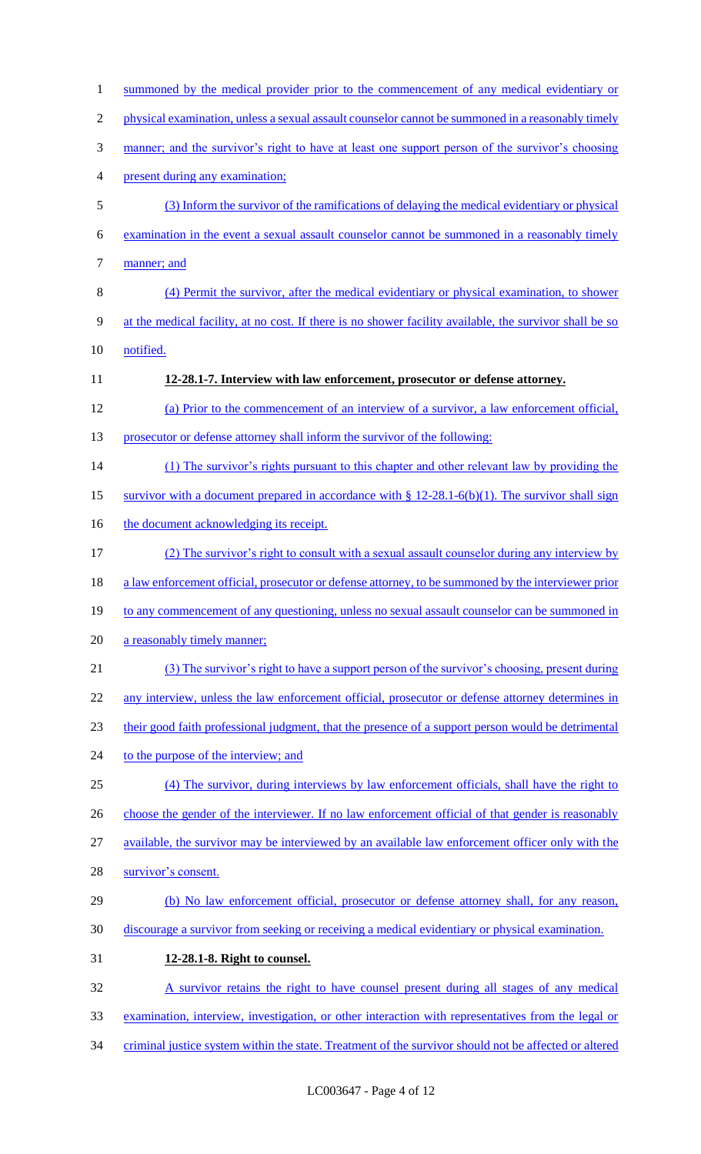| 1              | summoned by the medical provider prior to the commencement of any medical evidentiary or                |
|----------------|---------------------------------------------------------------------------------------------------------|
| $\overline{2}$ | physical examination, unless a sexual assault counselor cannot be summoned in a reasonably timely       |
| 3              | manner; and the survivor's right to have at least one support person of the survivor's choosing         |
| 4              | present during any examination;                                                                         |
| 5              | (3) Inform the survivor of the ramifications of delaying the medical evidentiary or physical            |
| 6              | examination in the event a sexual assault counselor cannot be summoned in a reasonably timely           |
| 7              | manner; and                                                                                             |
| 8              | (4) Permit the survivor, after the medical evidentiary or physical examination, to shower               |
| 9              | at the medical facility, at no cost. If there is no shower facility available, the survivor shall be so |
| 10             | notified.                                                                                               |
| 11             | 12-28.1-7. Interview with law enforcement, prosecutor or defense attorney.                              |
| 12             | (a) Prior to the commencement of an interview of a survivor, a law enforcement official,                |
| 13             | prosecutor or defense attorney shall inform the survivor of the following:                              |
| 14             | (1) The survivor's rights pursuant to this chapter and other relevant law by providing the              |
| 15             | survivor with a document prepared in accordance with $\S 12-28.1-6(b)(1)$ . The survivor shall sign     |
| 16             | the document acknowledging its receipt.                                                                 |
| 17             | (2) The survivor's right to consult with a sexual assault counselor during any interview by             |
| 18             | a law enforcement official, prosecutor or defense attorney, to be summoned by the interviewer prior     |
| 19             | to any commencement of any questioning, unless no sexual assault counselor can be summoned in           |
| 20             | a reasonably timely manner;                                                                             |
| 21             | (3) The survivor's right to have a support person of the survivor's choosing, present during            |
| 22             | any interview, unless the law enforcement official, prosecutor or defense attorney determines in        |
| 23             | their good faith professional judgment, that the presence of a support person would be detrimental      |
| 24             | to the purpose of the interview; and                                                                    |
| 25             | (4) The survivor, during interviews by law enforcement officials, shall have the right to               |
| 26             | choose the gender of the interviewer. If no law enforcement official of that gender is reasonably       |
| 27             | available, the survivor may be interviewed by an available law enforcement officer only with the        |
| 28             | survivor's consent.                                                                                     |
| 29             | (b) No law enforcement official, prosecutor or defense attorney shall, for any reason,                  |
| 30             | discourage a survivor from seeking or receiving a medical evidentiary or physical examination.          |
| 31             | 12-28.1-8. Right to counsel.                                                                            |
| 32             | A survivor retains the right to have counsel present during all stages of any medical                   |
| 33             | examination, interview, investigation, or other interaction with representatives from the legal or      |
| 34             | criminal justice system within the state. Treatment of the survivor should not be affected or altered   |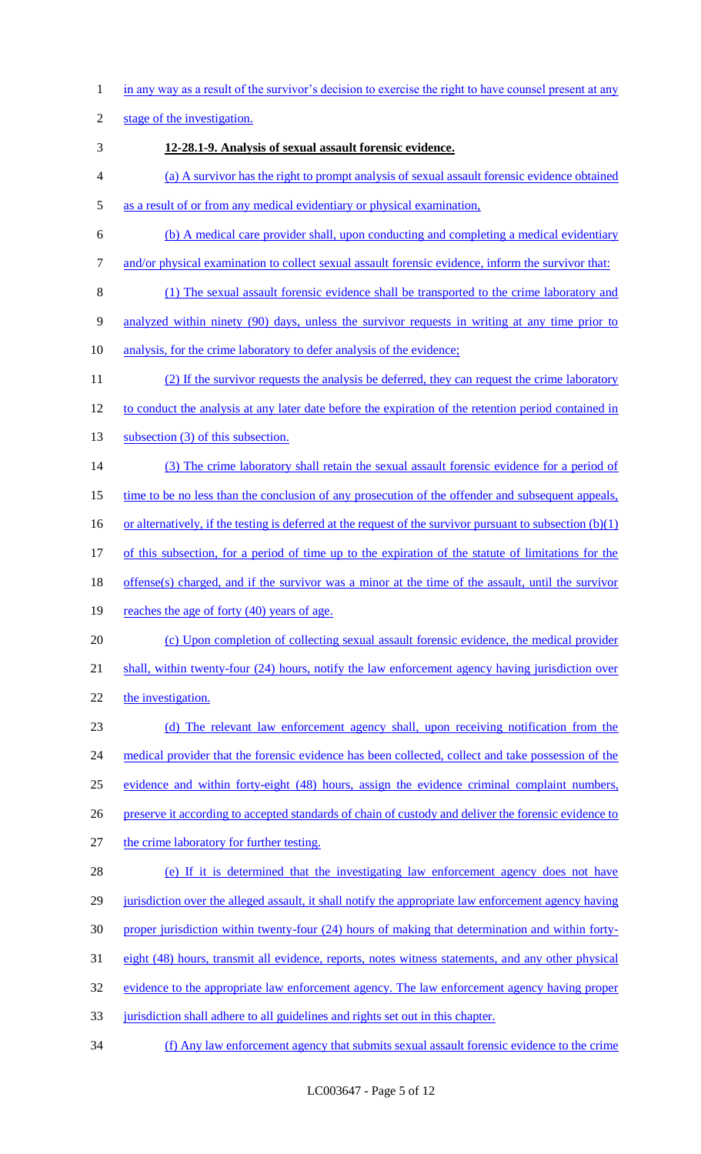1 in any way as a result of the survivor's decision to exercise the right to have counsel present at any

2 stage of the investigation.

- 3 **12-28.1-9. Analysis of sexual assault forensic evidence.**
- 4 (a) A survivor has the right to prompt analysis of sexual assault forensic evidence obtained
- 5 as a result of or from any medical evidentiary or physical examination,
- 6 (b) A medical care provider shall, upon conducting and completing a medical evidentiary
- 7 and/or physical examination to collect sexual assault forensic evidence, inform the survivor that:
- 8 (1) The sexual assault forensic evidence shall be transported to the crime laboratory and 9 analyzed within ninety (90) days, unless the survivor requests in writing at any time prior to
- 10 analysis, for the crime laboratory to defer analysis of the evidence;
- 11 (2) If the survivor requests the analysis be deferred, they can request the crime laboratory 12 to conduct the analysis at any later date before the expiration of the retention period contained in
- 13 subsection (3) of this subsection.
- 14 (3) The crime laboratory shall retain the sexual assault forensic evidence for a period of
- 15 time to be no less than the conclusion of any prosecution of the offender and subsequent appeals,
- 16 or alternatively, if the testing is deferred at the request of the survivor pursuant to subsection (b)(1)
- 17 of this subsection, for a period of time up to the expiration of the statute of limitations for the
- 18 offense(s) charged, and if the survivor was a minor at the time of the assault, until the survivor
- 19 reaches the age of forty (40) years of age.
- 20 (c) Upon completion of collecting sexual assault forensic evidence, the medical provider
- 21 shall, within twenty-four (24) hours, notify the law enforcement agency having jurisdiction over
- 22 the investigation.
- 23 (d) The relevant law enforcement agency shall, upon receiving notification from the 24 medical provider that the forensic evidence has been collected, collect and take possession of the 25 evidence and within forty-eight (48) hours, assign the evidence criminal complaint numbers, 26 preserve it according to accepted standards of chain of custody and deliver the forensic evidence to 27 the crime laboratory for further testing.
- 28 (e) If it is determined that the investigating law enforcement agency does not have 29 jurisdiction over the alleged assault, it shall notify the appropriate law enforcement agency having 30 proper jurisdiction within twenty-four (24) hours of making that determination and within forty-31 eight (48) hours, transmit all evidence, reports, notes witness statements, and any other physical 32 evidence to the appropriate law enforcement agency. The law enforcement agency having proper 33 jurisdiction shall adhere to all guidelines and rights set out in this chapter.
- 34 (f) Any law enforcement agency that submits sexual assault forensic evidence to the crime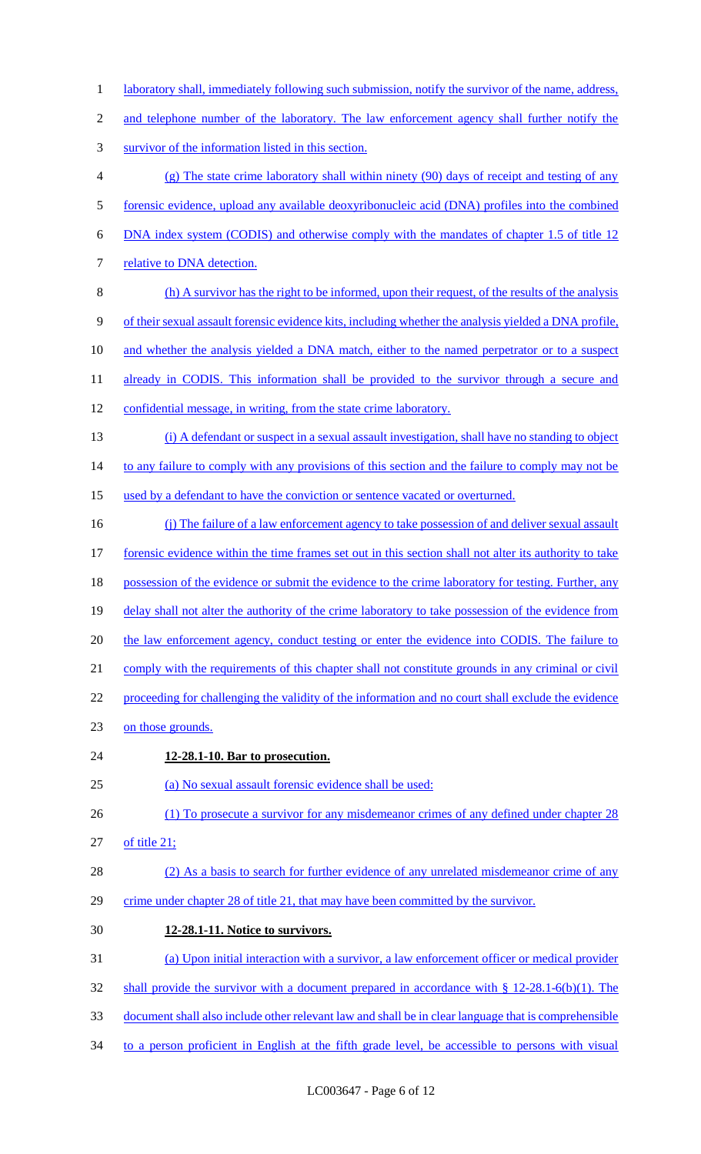- 1 laboratory shall, immediately following such submission, notify the survivor of the name, address,
- 2 and telephone number of the laboratory. The law enforcement agency shall further notify the
- 3 survivor of the information listed in this section.
- 4 (g) The state crime laboratory shall within ninety (90) days of receipt and testing of any 5 forensic evidence, upload any available deoxyribonucleic acid (DNA) profiles into the combined
- 6 DNA index system (CODIS) and otherwise comply with the mandates of chapter 1.5 of title 12
- 7 relative to DNA detection.
- 8 (h) A survivor has the right to be informed, upon their request, of the results of the analysis 9 of their sexual assault forensic evidence kits, including whether the analysis yielded a DNA profile, 10 and whether the analysis yielded a DNA match, either to the named perpetrator or to a suspect
- 11 already in CODIS. This information shall be provided to the survivor through a secure and
- 12 confidential message, in writing, from the state crime laboratory.
- 13 (i) A defendant or suspect in a sexual assault investigation, shall have no standing to object

14 to any failure to comply with any provisions of this section and the failure to comply may not be

- 15 used by a defendant to have the conviction or sentence vacated or overturned.
- 16 (j) The failure of a law enforcement agency to take possession of and deliver sexual assault 17 forensic evidence within the time frames set out in this section shall not alter its authority to take 18 possession of the evidence or submit the evidence to the crime laboratory for testing. Further, any 19 delay shall not alter the authority of the crime laboratory to take possession of the evidence from 20 the law enforcement agency, conduct testing or enter the evidence into CODIS. The failure to
- 21 comply with the requirements of this chapter shall not constitute grounds in any criminal or civil
- 22 proceeding for challenging the validity of the information and no court shall exclude the evidence
- 23 on those grounds.
- 24 **12-28.1-10. Bar to prosecution.**

25 (a) No sexual assault forensic evidence shall be used:

- 26 (1) To prosecute a survivor for any misdemeanor crimes of any defined under chapter 28
- 27 of title 21;
- 28 (2) As a basis to search for further evidence of any unrelated misdemeanor crime of any 29 crime under chapter 28 of title 21, that may have been committed by the survivor.
- 30 **12-28.1-11. Notice to survivors.**
- 31 (a) Upon initial interaction with a survivor, a law enforcement officer or medical provider
- 32 shall provide the survivor with a document prepared in accordance with § 12-28.1-6(b)(1). The
- 33 document shall also include other relevant law and shall be in clear language that is comprehensible
- 34 to a person proficient in English at the fifth grade level, be accessible to persons with visual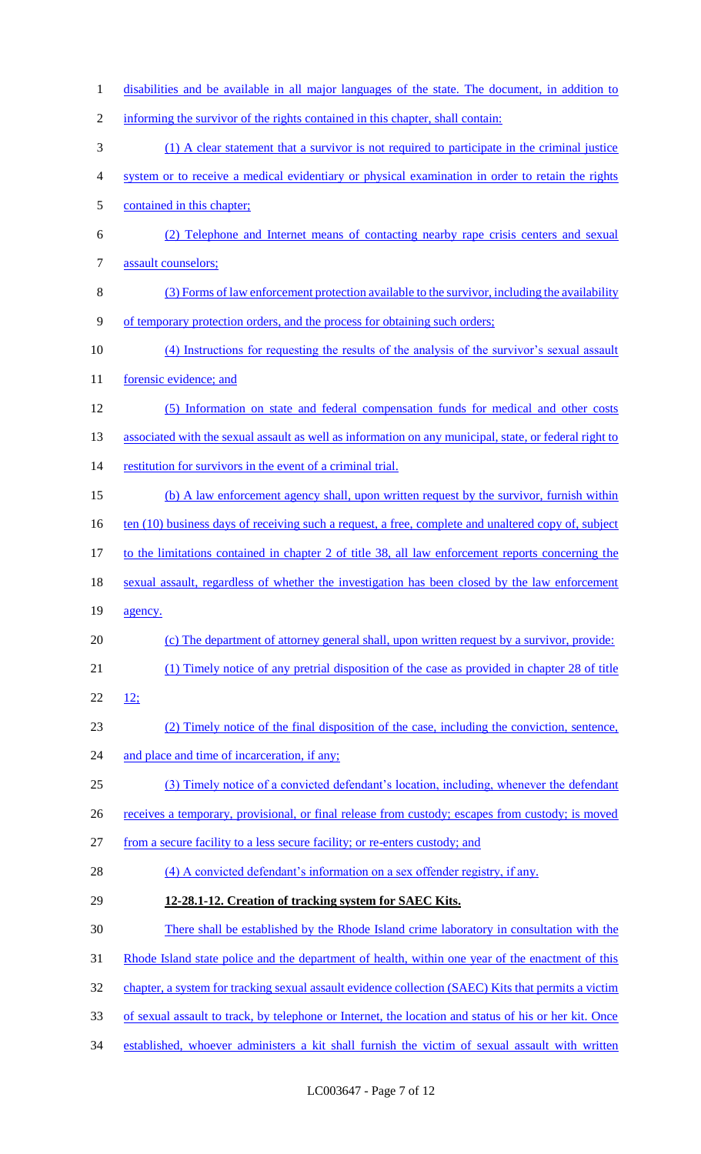disabilities and be available in all major languages of the state. The document, in addition to informing the survivor of the rights contained in this chapter, shall contain: (1) A clear statement that a survivor is not required to participate in the criminal justice system or to receive a medical evidentiary or physical examination in order to retain the rights contained in this chapter; (2) Telephone and Internet means of contacting nearby rape crisis centers and sexual assault counselors; (3) Forms of law enforcement protection available to the survivor, including the availability of temporary protection orders, and the process for obtaining such orders; (4) Instructions for requesting the results of the analysis of the survivor's sexual assault 11 forensic evidence; and (5) Information on state and federal compensation funds for medical and other costs 13 associated with the sexual assault as well as information on any municipal, state, or federal right to restitution for survivors in the event of a criminal trial. (b) A law enforcement agency shall, upon written request by the survivor, furnish within 16 ten (10) business days of receiving such a request, a free, complete and unaltered copy of, subject 17 to the limitations contained in chapter 2 of title 38, all law enforcement reports concerning the sexual assault, regardless of whether the investigation has been closed by the law enforcement 19 agency. (c) The department of attorney general shall, upon written request by a survivor, provide: (1) Timely notice of any pretrial disposition of the case as provided in chapter 28 of title 22 ; (2) Timely notice of the final disposition of the case, including the conviction, sentence, 24 and place and time of incarceration, if any; (3) Timely notice of a convicted defendant's location, including, whenever the defendant 26 receives a temporary, provisional, or final release from custody; escapes from custody; is moved from a secure facility to a less secure facility; or re-enters custody; and 28 (4) A convicted defendant's information on a sex offender registry, if any. **12-28.1-12. Creation of tracking system for SAEC Kits.**  There shall be established by the Rhode Island crime laboratory in consultation with the 31 Rhode Island state police and the department of health, within one year of the enactment of this 32 chapter, a system for tracking sexual assault evidence collection (SAEC) Kits that permits a victim of sexual assault to track, by telephone or Internet, the location and status of his or her kit. Once established, whoever administers a kit shall furnish the victim of sexual assault with written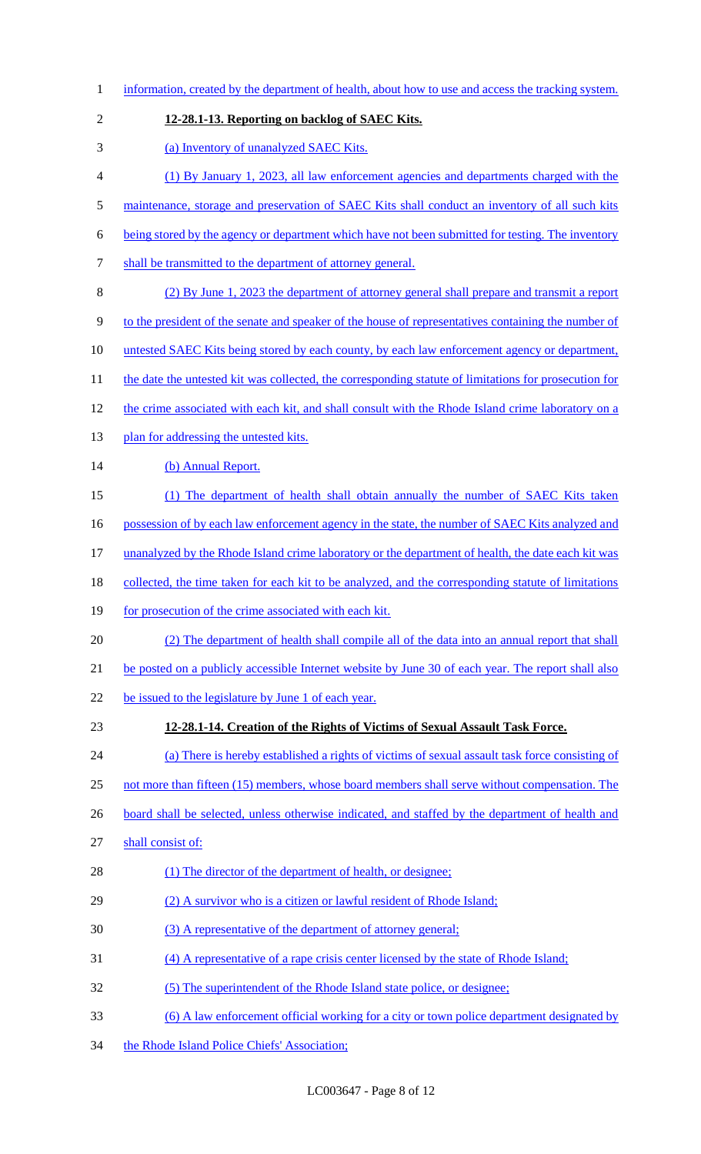| $\mathbf{1}$   | information, created by the department of health, about how to use and access the tracking system.    |
|----------------|-------------------------------------------------------------------------------------------------------|
| $\overline{2}$ | 12-28.1-13. Reporting on backlog of SAEC Kits.                                                        |
| 3              | (a) Inventory of unanalyzed SAEC Kits.                                                                |
| $\overline{4}$ | (1) By January 1, 2023, all law enforcement agencies and departments charged with the                 |
| 5              | maintenance, storage and preservation of SAEC Kits shall conduct an inventory of all such kits        |
| 6              | being stored by the agency or department which have not been submitted for testing. The inventory     |
| 7              | shall be transmitted to the department of attorney general.                                           |
| 8              | (2) By June 1, 2023 the department of attorney general shall prepare and transmit a report            |
| 9              | to the president of the senate and speaker of the house of representatives containing the number of   |
| 10             | <u>untested SAEC Kits being stored by each county, by each law enforcement agency or department,</u>  |
| 11             | the date the untested kit was collected, the corresponding statute of limitations for prosecution for |
| 12             | the crime associated with each kit, and shall consult with the Rhode Island crime laboratory on a     |
| 13             | plan for addressing the untested kits.                                                                |
| 14             | (b) Annual Report.                                                                                    |
| 15             | (1) The department of health shall obtain annually the number of SAEC Kits taken                      |
| 16             | possession of by each law enforcement agency in the state, the number of SAEC Kits analyzed and       |
| 17             | unanalyzed by the Rhode Island crime laboratory or the department of health, the date each kit was    |
| 18             | collected, the time taken for each kit to be analyzed, and the corresponding statute of limitations   |
| 19             | for prosecution of the crime associated with each kit.                                                |
| 20             | (2) The department of health shall compile all of the data into an annual report that shall           |
| 21             | be posted on a publicly accessible Internet website by June 30 of each year. The report shall also    |
| 22             | be issued to the legislature by June 1 of each year.                                                  |
| 23             | 12-28.1-14. Creation of the Rights of Victims of Sexual Assault Task Force.                           |
| 24             | (a) There is hereby established a rights of victims of sexual assault task force consisting of        |
| 25             | not more than fifteen (15) members, whose board members shall serve without compensation. The         |
| 26             | board shall be selected, unless otherwise indicated, and staffed by the department of health and      |
| 27             | shall consist of:                                                                                     |
| 28             | (1) The director of the department of health, or designee;                                            |
| 29             | (2) A survivor who is a citizen or lawful resident of Rhode Island;                                   |
| 30             | (3) A representative of the department of attorney general;                                           |
| 31             | (4) A representative of a rape crisis center licensed by the state of Rhode Island;                   |
| 32             | (5) The superintendent of the Rhode Island state police, or designee;                                 |
| 33             | <u>(6) A law enforcement official working for a city or town police department designated by</u>      |
| 34             | the Rhode Island Police Chiefs' Association;                                                          |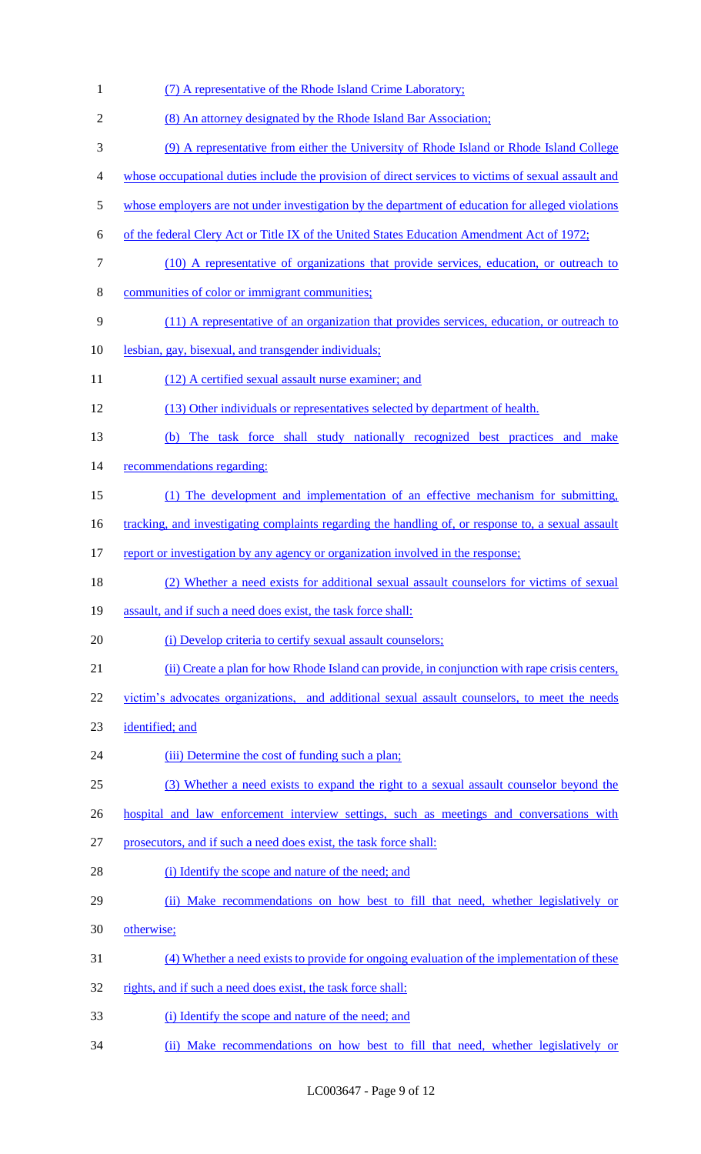| $\mathbf{1}$   | (7) A representative of the Rhode Island Crime Laboratory;                                          |
|----------------|-----------------------------------------------------------------------------------------------------|
| $\overline{2}$ | (8) An attorney designated by the Rhode Island Bar Association;                                     |
| 3              | (9) A representative from either the University of Rhode Island or Rhode Island College             |
| $\overline{4}$ | whose occupational duties include the provision of direct services to victims of sexual assault and |
| $\mathfrak s$  | whose employers are not under investigation by the department of education for alleged violations   |
| 6              | of the federal Clery Act or Title IX of the United States Education Amendment Act of 1972;          |
| $\tau$         | (10) A representative of organizations that provide services, education, or outreach to             |
| $8\,$          | communities of color or immigrant communities;                                                      |
| 9              | (11) A representative of an organization that provides services, education, or outreach to          |
| 10             | lesbian, gay, bisexual, and transgender individuals;                                                |
| 11             | (12) A certified sexual assault nurse examiner; and                                                 |
| 12             | (13) Other individuals or representatives selected by department of health.                         |
| 13             | (b) The task force shall study nationally recognized best practices and make                        |
| 14             | recommendations regarding:                                                                          |
| 15             | (1) The development and implementation of an effective mechanism for submitting,                    |
| 16             | tracking, and investigating complaints regarding the handling of, or response to, a sexual assault  |
| 17             | report or investigation by any agency or organization involved in the response;                     |
| 18             | (2) Whether a need exists for additional sexual assault counselors for victims of sexual            |
| 19             | assault, and if such a need does exist, the task force shall:                                       |
| 20             | (i) Develop criteria to certify sexual assault counselors;                                          |
| 21             | (ii) Create a plan for how Rhode Island can provide, in conjunction with rape crisis centers,       |
| 22             | victim's advocates organizations, and additional sexual assault counselors, to meet the needs       |
| 23             | identified; and                                                                                     |
| 24             | (iii) Determine the cost of funding such a plan;                                                    |
| 25             | (3) Whether a need exists to expand the right to a sexual assault counselor beyond the              |
| 26             | hospital and law enforcement interview settings, such as meetings and conversations with            |
| 27             | prosecutors, and if such a need does exist, the task force shall:                                   |
| 28             | (i) Identify the scope and nature of the need; and                                                  |
| 29             | (ii) Make recommendations on how best to fill that need, whether legislatively or                   |
| 30             | otherwise;                                                                                          |
| 31             | (4) Whether a need exists to provide for ongoing evaluation of the implementation of these          |
| 32             | rights, and if such a need does exist, the task force shall:                                        |
| 33             | (i) Identify the scope and nature of the need; and                                                  |
| 34             | (ii) Make recommendations on how best to fill that need, whether legislatively or                   |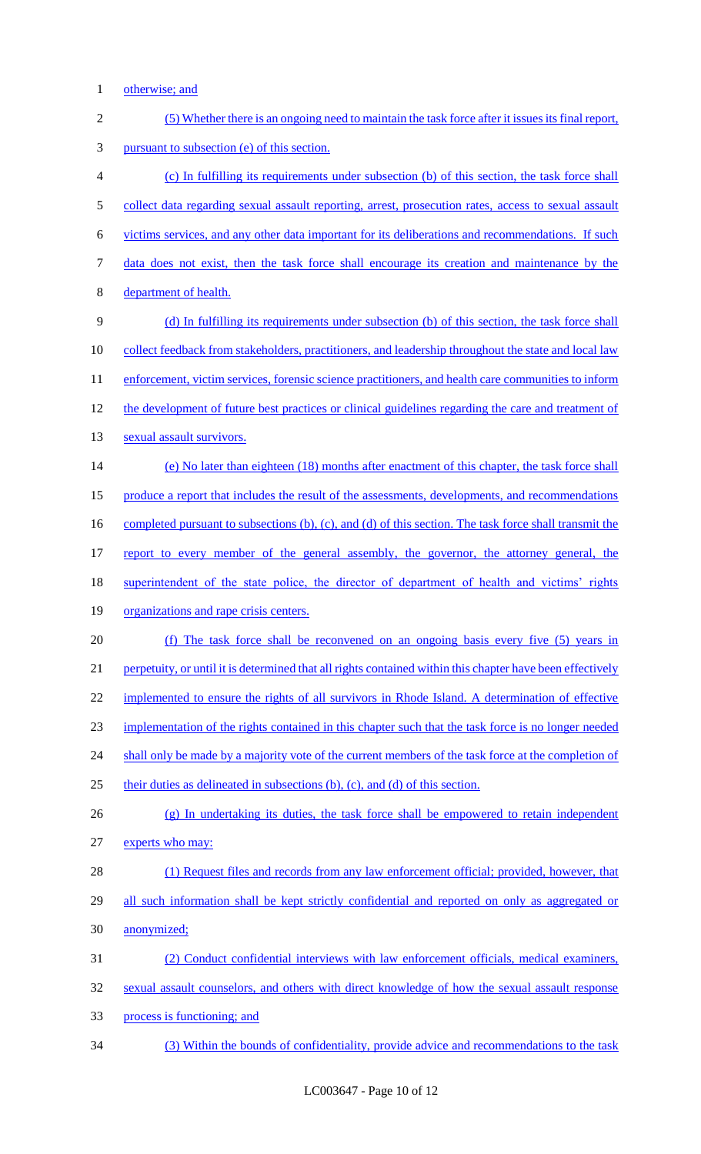1 otherwise; and

| $\sqrt{2}$ | (5) Whether there is an ongoing need to maintain the task force after it issues its final report,           |
|------------|-------------------------------------------------------------------------------------------------------------|
| 3          | pursuant to subsection (e) of this section.                                                                 |
| 4          | (c) In fulfilling its requirements under subsection (b) of this section, the task force shall               |
| 5          | collect data regarding sexual assault reporting, arrest, prosecution rates, access to sexual assault        |
| 6          | victims services, and any other data important for its deliberations and recommendations. If such           |
| 7          | data does not exist, then the task force shall encourage its creation and maintenance by the                |
| 8          | department of health.                                                                                       |
| 9          | (d) In fulfilling its requirements under subsection (b) of this section, the task force shall               |
| 10         | <u>collect feedback from stakeholders, practitioners, and leadership throughout the state and local law</u> |
| 11         | enforcement, victim services, forensic science practitioners, and health care communities to inform         |
| 12         | the development of future best practices or clinical guidelines regarding the care and treatment of         |
| 13         | sexual assault survivors.                                                                                   |
| 14         | (e) No later than eighteen (18) months after enactment of this chapter, the task force shall                |
| 15         | produce a report that includes the result of the assessments, developments, and recommendations             |
| 16         | completed pursuant to subsections (b), (c), and (d) of this section. The task force shall transmit the      |
| 17         | report to every member of the general assembly, the governor, the attorney general, the                     |
| 18         | superintendent of the state police, the director of department of health and victims' rights                |
| 19         | organizations and rape crisis centers.                                                                      |
| 20         | (f) The task force shall be reconvened on an ongoing basis every five (5) years in                          |
| 21         | perpetuity, or until it is determined that all rights contained within this chapter have been effectively   |
| 22         | implemented to ensure the rights of all survivors in Rhode Island. A determination of effective             |
| 23         | implementation of the rights contained in this chapter such that the task force is no longer needed         |
| 24         | shall only be made by a majority vote of the current members of the task force at the completion of         |
| 25         | their duties as delineated in subsections (b), (c), and (d) of this section.                                |
| 26         | (g) In undertaking its duties, the task force shall be empowered to retain independent                      |
| 27         | experts who may:                                                                                            |
| 28         | (1) Request files and records from any law enforcement official; provided, however, that                    |
| 29         | all such information shall be kept strictly confidential and reported on only as aggregated or              |
| 30         | anonymized;                                                                                                 |
| 31         | (2) Conduct confidential interviews with law enforcement officials, medical examiners,                      |
| 32         | sexual assault counselors, and others with direct knowledge of how the sexual assault response              |
| 33         | process is functioning; and                                                                                 |
| 34         | (3) Within the bounds of confidentiality, provide advice and recommendations to the task                    |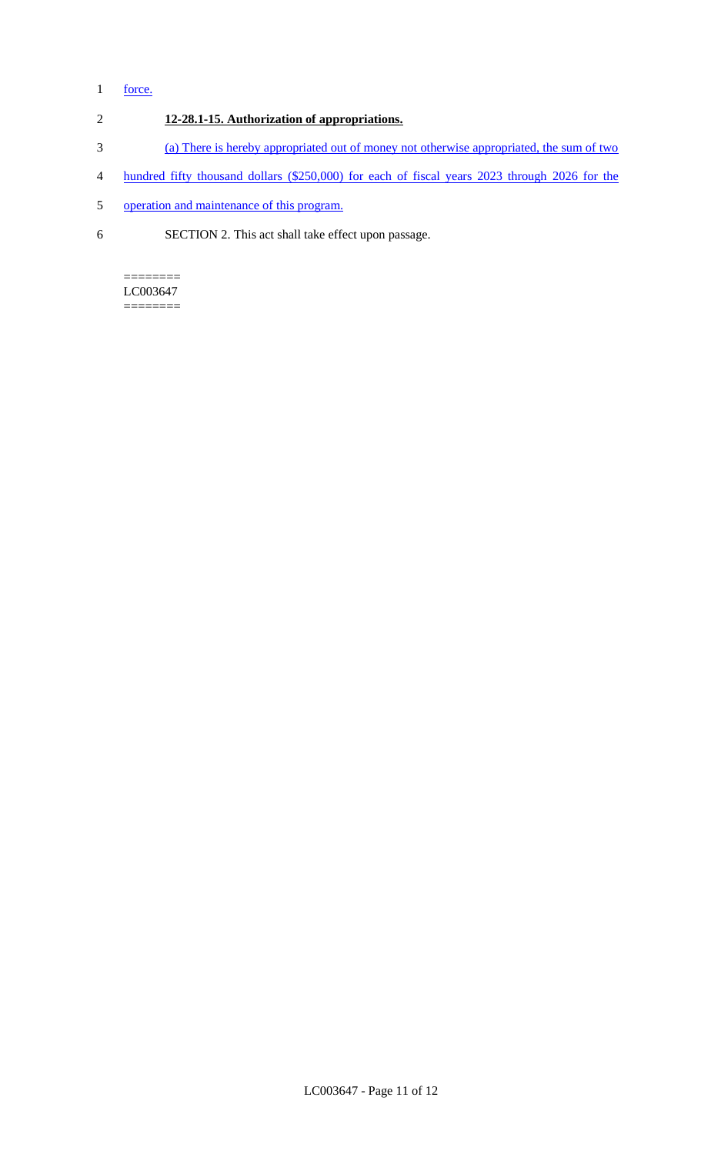# 1 force.

- 2 **12-28.1-15. Authorization of appropriations.**
- 3 (a) There is hereby appropriated out of money not otherwise appropriated, the sum of two
- 4 hundred fifty thousand dollars (\$250,000) for each of fiscal years 2023 through 2026 for the
- 5 operation and maintenance of this program.
- 6 SECTION 2. This act shall take effect upon passage.

### ======== LC003647

========